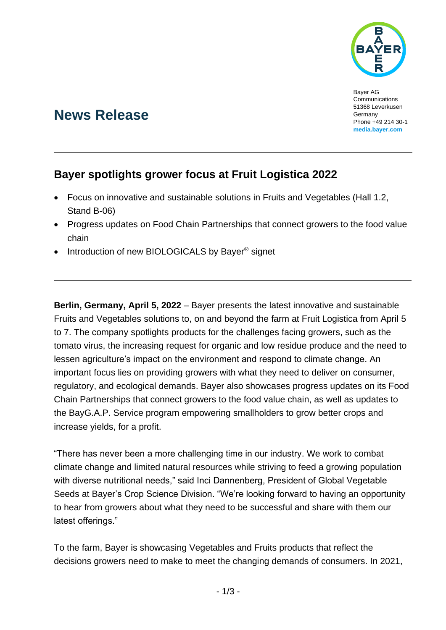

Bayer AG **Communications** 51368 Leverkusen Germany Phone +49 214 30-1 **[media.bayer.com](http://media.bayer.com/)**

# **News Release**

## **Bayer spotlights grower focus at Fruit Logistica 2022**

- Focus on innovative and sustainable solutions in Fruits and Vegetables (Hall 1.2, Stand B-06)
- Progress updates on Food Chain Partnerships that connect growers to the food value chain
- Introduction of new BIOLOGICALS by Bayer<sup>®</sup> signet

**Berlin, Germany, April 5, 2022** – Bayer presents the latest innovative and sustainable Fruits and Vegetables solutions to, on and beyond the farm at Fruit Logistica from April 5 to 7. The company spotlights products for the challenges facing growers, such as the tomato virus, the increasing request for organic and low residue produce and the need to lessen agriculture's impact on the environment and respond to climate change. An important focus lies on providing growers with what they need to deliver on consumer, regulatory, and ecological demands. Bayer also showcases progress updates on its Food Chain Partnerships that connect growers to the food value chain, as well as updates to the BayG.A.P. Service program empowering smallholders to grow better crops and increase yields, for a profit.

"There has never been a more challenging time in our industry. We work to combat climate change and limited natural resources while striving to feed a growing population with diverse nutritional needs," said Inci Dannenberg, President of Global Vegetable Seeds at Bayer's Crop Science Division. "We're looking forward to having an opportunity to hear from growers about what they need to be successful and share with them our latest offerings."

To the farm, Bayer is showcasing Vegetables and Fruits products that reflect the decisions growers need to make to meet the changing demands of consumers. In 2021,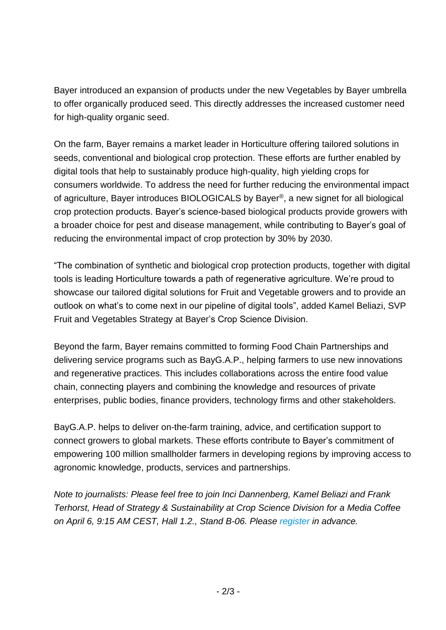Bayer introduced an expansion of products under the new Vegetables by Bayer umbrella to offer organically produced seed. This directly addresses the increased customer need for high-quality organic seed.

On the farm, Bayer remains a market leader in Horticulture offering tailored solutions in seeds, conventional and biological crop protection. These efforts are further enabled by digital tools that help to sustainably produce high-quality, high yielding crops for consumers worldwide. To address the need for further reducing the environmental impact of agriculture, Bayer introduces BIOLOGICALS by Bayer®, a new signet for all biological crop protection products. Bayer's science-based biological products provide growers with a broader choice for pest and disease management, while contributing to Bayer's goal of reducing the environmental impact of crop protection by 30% by 2030.

"The combination of synthetic and biological crop protection products, together with digital tools is leading Horticulture towards a path of regenerative agriculture. We're proud to showcase our tailored digital solutions for Fruit and Vegetable growers and to provide an outlook on what's to come next in our pipeline of digital tools", added Kamel Beliazi, SVP Fruit and Vegetables Strategy at Bayer's Crop Science Division.

Beyond the farm, Bayer remains committed to forming Food Chain Partnerships and delivering service programs such as BayG.A.P., helping farmers to use new innovations and regenerative practices. This includes collaborations across the entire food value chain, connecting players and combining the knowledge and resources of private enterprises, public bodies, finance providers, technology firms and other stakeholders.

BayG.A.P. helps to deliver on-the-farm training, advice, and certification support to connect growers to global markets. These efforts contribute to Bayer's commitment of empowering 100 million smallholder farmers in developing regions by improving access to agronomic knowledge, products, services and partnerships.

*Note to journalists: Please feel free to join Inci Dannenberg, Kamel Beliazi and Frank Terhorst, Head of Strategy & Sustainability at Crop Science Division for a Media Coffee on April 6, 9:15 AM CEST, Hall 1.2., Stand B-06. Please [register](mailto:conference-service@bayer-newsletter.de?subject=Confirmation%20-%20Bayer%20at%20Fruit%20Logistica%202022) in advance.*